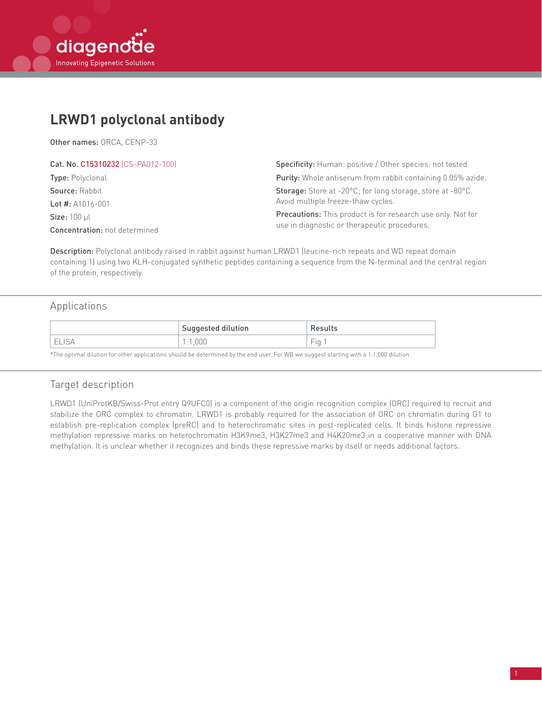# **LRWD1 polyclonal antibody**

Other names: ORCA, CENP-33

| Cat. No. C15310232 (CS-PA012-100)    | Specificity: Human: positive / Other species: not tested           |  |
|--------------------------------------|--------------------------------------------------------------------|--|
| <b>Type:</b> Polyclonal              | <b>Purity:</b> Whole antiserum from rabbit containing 0.05% azide. |  |
| <b>Source: Rabbit</b>                | <b>Storage:</b> Store at -20°C; for long storage, store at -80°C.  |  |
| Lot $\#$ : A1016-001                 | Avoid multiple freeze-thaw cycles.                                 |  |
| $Size: 100$ µl                       | Precautions: This product is for research use only. Not for        |  |
| <b>Concentration:</b> not determined | use in diagnostic or therapeutic procedures.                       |  |

Description: Polyclonal antibody raised in rabbit against human LRWD1 (leucine-rich repeats and WD repeat domain containing 1) using two KLH-conjugated synthetic peptides containing a sequence from the N-terminal and the central region of the protein, respectively.

## Applications

|   | $\,$ Suggested dilution | Results         |
|---|-------------------------|-----------------|
| ⊢ | 000                     | -<br>Eio.<br>ΠU |

\*The optimal dilution for other applications should be determined by the end user. For WB we suggest starting with a 1:1,000 dilution

### Target description

LRWD1 (UniProtKB/Swiss-Prot entry Q9UFC0) is a component of the origin recognition complex (ORC) required to recruit and stabilize the ORC complex to chromatin. LRWD1 is probably required for the association of ORC on chromatin during G1 to establish pre-replication complex (preRC) and to heterochromatic sites in post-replicated cells. It binds histone repressive methylation repressive marks on heterochromatin H3K9me3, H3K27me3 and H4K20me3 in a cooperative manner with DNA methylation. It is unclear whether it recognizes and binds these repressive marks by itself or needs additional factors.